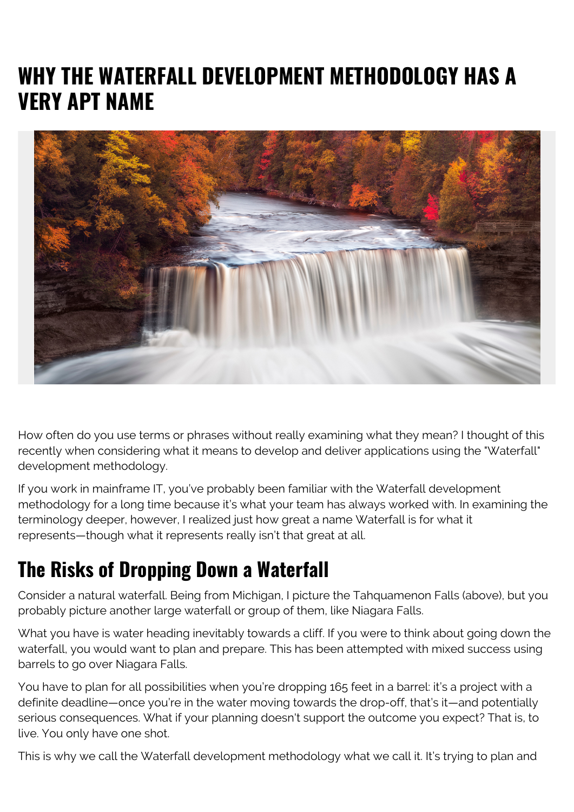## **WHY THE WATERFALL DEVELOPMENT METHODOLOGY HAS A VERY APT NAME**



How often do you use terms or phrases without really examining what they mean? I thought of this recently when considering what it means to develop and deliver applications using the "Waterfall" development methodology.

If you work in mainframe IT, you've probably been familiar with the Waterfall development methodology for a long time because it's what your team has always worked with. In examining the terminology deeper, however, I realized just how great a name Waterfall is for what it represents—though what it represents really isn't that great at all.

## **The Risks of Dropping Down a Waterfall**

Consider a natural waterfall. Being from Michigan, I picture the Tahquamenon Falls (above), but you probably picture another large waterfall or group of them, like Niagara Falls.

What you have is water heading inevitably towards a cliff. If you were to think about going down the waterfall, you would want to plan and prepare. This has been attempted with mixed success using barrels to go over Niagara Falls.

You have to plan for all possibilities when you're dropping 165 feet in a barrel: it's a project with a definite deadline—once you're in the water moving towards the drop-off, that's it—and potentially serious consequences. What if your planning doesn't support the outcome you expect? That is, to live. You only have one shot.

This is why we call the Waterfall development methodology what we call it. It's trying to plan and